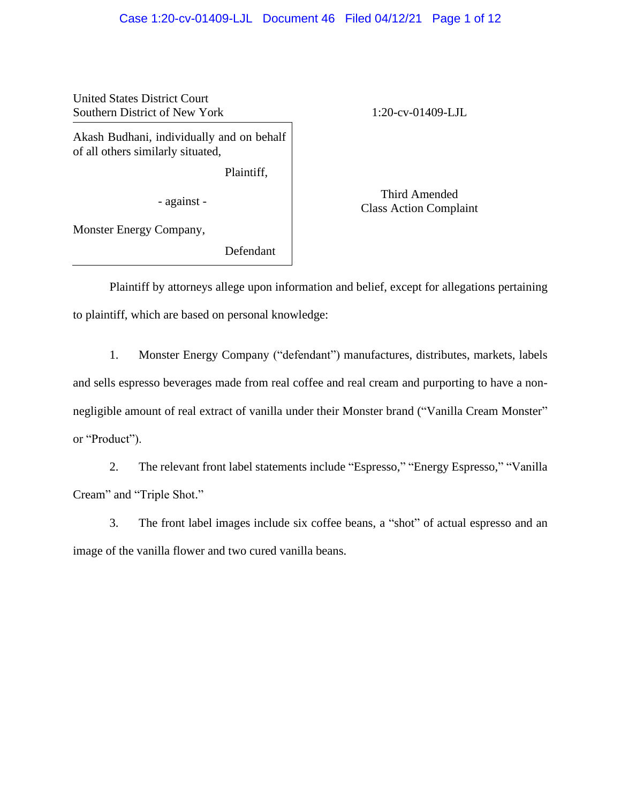# Case 1:20-cv-01409-LJL Document 46 Filed 04/12/21 Page 1 of 12

United States District Court Southern District of New York 1:20-cv-01409-LJL

Akash Budhani, individually and on behalf of all others similarly situated,

Plaintiff,

Monster Energy Company,

Defendant

Third Amended - against - against - against - against - against - against - against - against - against - against - against - against - against - against - against - against - against - against - against - against - against - against -

Plaintiff by attorneys allege upon information and belief, except for allegations pertaining to plaintiff, which are based on personal knowledge:

1. Monster Energy Company ("defendant") manufactures, distributes, markets, labels and sells espresso beverages made from real coffee and real cream and purporting to have a nonnegligible amount of real extract of vanilla under their Monster brand ("Vanilla Cream Monster" or "Product").

2. The relevant front label statements include "Espresso," "Energy Espresso," "Vanilla Cream" and "Triple Shot."

3. The front label images include six coffee beans, a "shot" of actual espresso and an image of the vanilla flower and two cured vanilla beans.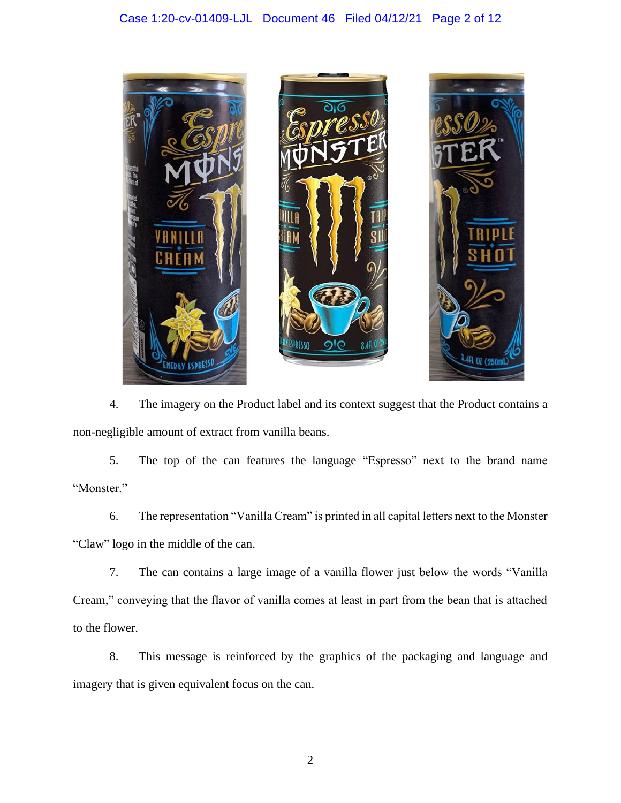

4. The imagery on the Product label and its context suggest that the Product contains a non-negligible amount of extract from vanilla beans.

5. The top of the can features the language "Espresso" next to the brand name "Monster."

6. The representation "Vanilla Cream" is printed in all capital letters next to the Monster "Claw" logo in the middle of the can.

7. The can contains a large image of a vanilla flower just below the words "Vanilla Cream," conveying that the flavor of vanilla comes at least in part from the bean that is attached to the flower.

8. This message is reinforced by the graphics of the packaging and language and imagery that is given equivalent focus on the can.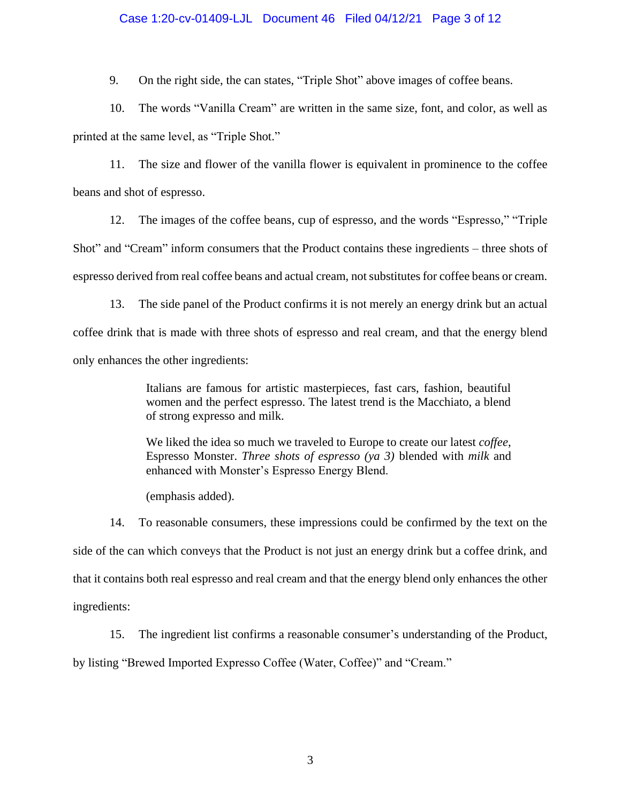## Case 1:20-cv-01409-LJL Document 46 Filed 04/12/21 Page 3 of 12

9. On the right side, the can states, "Triple Shot" above images of coffee beans.

10. The words "Vanilla Cream" are written in the same size, font, and color, as well as printed at the same level, as "Triple Shot."

11. The size and flower of the vanilla flower is equivalent in prominence to the coffee beans and shot of espresso.

12. The images of the coffee beans, cup of espresso, and the words "Espresso," "Triple Shot" and "Cream" inform consumers that the Product contains these ingredients – three shots of espresso derived from real coffee beans and actual cream, not substitutesfor coffee beans or cream.

13. The side panel of the Product confirms it is not merely an energy drink but an actual coffee drink that is made with three shots of espresso and real cream, and that the energy blend only enhances the other ingredients:

> Italians are famous for artistic masterpieces, fast cars, fashion, beautiful women and the perfect espresso. The latest trend is the Macchiato, a blend of strong expresso and milk.

> We liked the idea so much we traveled to Europe to create our latest *coffee*, Espresso Monster. *Three shots of espresso (ya 3)* blended with *milk* and enhanced with Monster's Espresso Energy Blend.

(emphasis added).

14. To reasonable consumers, these impressions could be confirmed by the text on the side of the can which conveys that the Product is not just an energy drink but a coffee drink, and that it contains both real espresso and real cream and that the energy blend only enhances the other ingredients:

15. The ingredient list confirms a reasonable consumer's understanding of the Product, by listing "Brewed Imported Expresso Coffee (Water, Coffee)" and "Cream."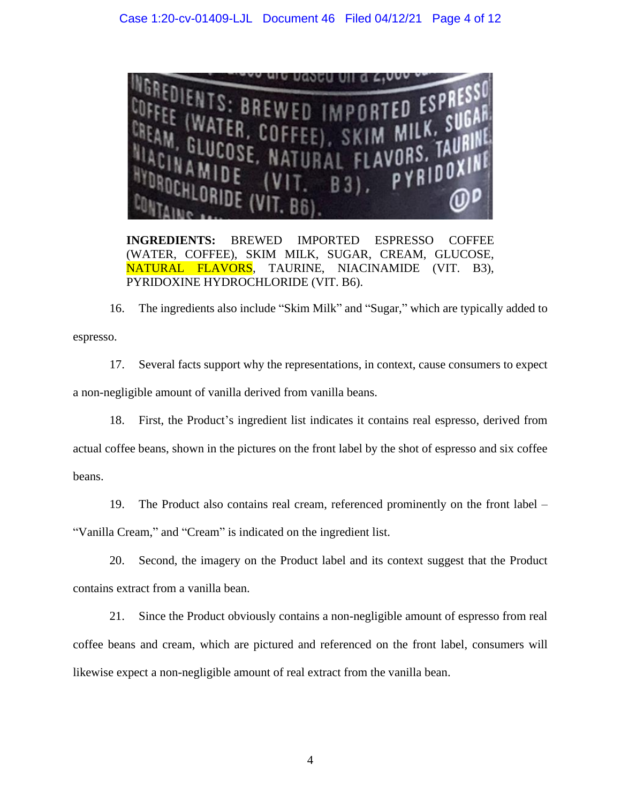

**INGREDIENTS:** BREWED IMPORTED ESPRESSO COFFEE (WATER, COFFEE), SKIM MILK, SUGAR, CREAM, GLUCOSE, NATURAL FLAVORS, TAURINE, NIACINAMIDE (VIT. B3), PYRIDOXINE HYDROCHLORIDE (VIT. B6).

16. The ingredients also include "Skim Milk" and "Sugar," which are typically added to espresso.

17. Several facts support why the representations, in context, cause consumers to expect a non-negligible amount of vanilla derived from vanilla beans.

18. First, the Product's ingredient list indicates it contains real espresso, derived from actual coffee beans, shown in the pictures on the front label by the shot of espresso and six coffee beans.

19. The Product also contains real cream, referenced prominently on the front label – "Vanilla Cream," and "Cream" is indicated on the ingredient list.

20. Second, the imagery on the Product label and its context suggest that the Product contains extract from a vanilla bean.

21. Since the Product obviously contains a non-negligible amount of espresso from real coffee beans and cream, which are pictured and referenced on the front label, consumers will likewise expect a non-negligible amount of real extract from the vanilla bean.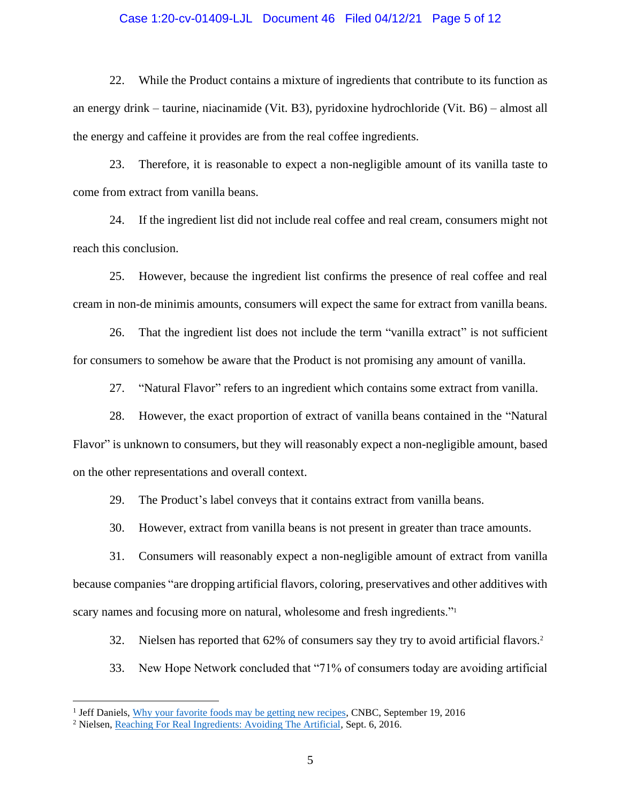#### Case 1:20-cv-01409-LJL Document 46 Filed 04/12/21 Page 5 of 12

22. While the Product contains a mixture of ingredients that contribute to its function as an energy drink – taurine, niacinamide (Vit. B3), pyridoxine hydrochloride (Vit. B6) – almost all the energy and caffeine it provides are from the real coffee ingredients.

23. Therefore, it is reasonable to expect a non-negligible amount of its vanilla taste to come from extract from vanilla beans.

24. If the ingredient list did not include real coffee and real cream, consumers might not reach this conclusion.

25. However, because the ingredient list confirms the presence of real coffee and real cream in non-de minimis amounts, consumers will expect the same for extract from vanilla beans.

26. That the ingredient list does not include the term "vanilla extract" is not sufficient for consumers to somehow be aware that the Product is not promising any amount of vanilla.

27. "Natural Flavor" refers to an ingredient which contains some extract from vanilla.

28. However, the exact proportion of extract of vanilla beans contained in the "Natural Flavor" is unknown to consumers, but they will reasonably expect a non-negligible amount, based on the other representations and overall context.

29. The Product's label conveys that it contains extract from vanilla beans.

30. However, extract from vanilla beans is not present in greater than trace amounts.

31. Consumers will reasonably expect a non-negligible amount of extract from vanilla because companies "are dropping artificial flavors, coloring, preservatives and other additives with scary names and focusing more on natural, wholesome and fresh ingredients."

32. Nielsen has reported that 62% of consumers say they try to avoid artificial flavors.<sup>2</sup>

33. New Hope Network concluded that "71% of consumers today are avoiding artificial

<sup>&</sup>lt;sup>1</sup> Jeff Daniels, [Why your favorite foods may be getting new recipes,](https://finance.yahoo.com/news/why-favorite-foods-may-getting-143645872.html) CNBC, September 19, 2016

<sup>2</sup> Nielsen, [Reaching For Real Ingredients: Avoiding The Artificial,](https://www.nielsen.com/us/en/insights/article/2016/reaching-for-real-ingredients-avoiding-the-artificial/) Sept. 6, 2016.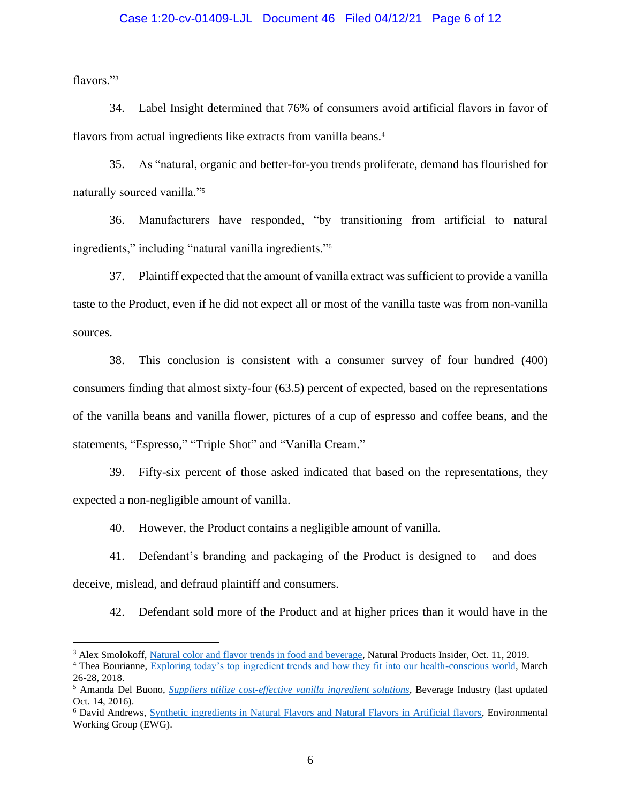### Case 1:20-cv-01409-LJL Document 46 Filed 04/12/21 Page 6 of 12

flavors."<sup>3</sup>

34. Label Insight determined that 76% of consumers avoid artificial flavors in favor of flavors from actual ingredients like extracts from vanilla beans.<sup>4</sup>

35. As "natural, organic and better-for-you trends proliferate, demand has flourished for naturally sourced vanilla."<sup>5</sup>

36. Manufacturers have responded, "by transitioning from artificial to natural ingredients," including "natural vanilla ingredients."<sup>6</sup>

37. Plaintiff expected that the amount of vanilla extract was sufficient to provide a vanilla taste to the Product, even if he did not expect all or most of the vanilla taste was from non-vanilla sources.

38. This conclusion is consistent with a consumer survey of four hundred (400) consumers finding that almost sixty-four (63.5) percent of expected, based on the representations of the vanilla beans and vanilla flower, pictures of a cup of espresso and coffee beans, and the statements, "Espresso," "Triple Shot" and "Vanilla Cream."

39. Fifty-six percent of those asked indicated that based on the representations, they expected a non-negligible amount of vanilla.

40. However, the Product contains a negligible amount of vanilla.

41. Defendant's branding and packaging of the Product is designed to – and does – deceive, mislead, and defraud plaintiff and consumers.

42. Defendant sold more of the Product and at higher prices than it would have in the

<sup>&</sup>lt;sup>3</sup> Alex Smolokoff, [Natural color and flavor trends in food and beverage,](file:///C:/Users/Office%201/Legal%20Dropbox/Spencer%20Sheehan/Clio/Consumer,%20Reasonable/2020-06-Consumer,%20R-00803Westsoy%20Organic%20Plus%20Vanilla%20Soymilk/14.%09https:/www.naturalproductsinsider.com/colors-flavors/natural-color-and-flavor-trends-food-and-beverage) Natural Products Insider, Oct. 11, 2019.

<sup>&</sup>lt;sup>4</sup> Thea Bourianne, Exploring [today's top ingredient trends and how they fit into our health-conscious world,](https://www.globalfoodforums.com/wp-content/uploads/2018/04/Thea-Bourianne-Exploring-Top-Ingredient-Trends.pdf) March 26-28, 2018.

<sup>5</sup> Amanda Del Buono, *[Suppliers utilize cost-effective vanilla ingredient solutions](https://www.bevindustry.com/articles/89690-suppliers-utilize-cost-effective-vanilla-ingredient-solutions)*, Beverage Industry (last updated Oct. 14, 2016).

<sup>6</sup> David Andrews, [Synthetic ingredients in Natural Flavors and Natural Flavors in Artificial flavors,](https://www.ewg.org/foodscores/content/natural-vs-artificial-flavors/#:~:text=A%20natural%20flavor%20almost%20always,simpler%20than%20%E2%80%9Cnatural%E2%80%9D%20flavors.) Environmental Working Group (EWG).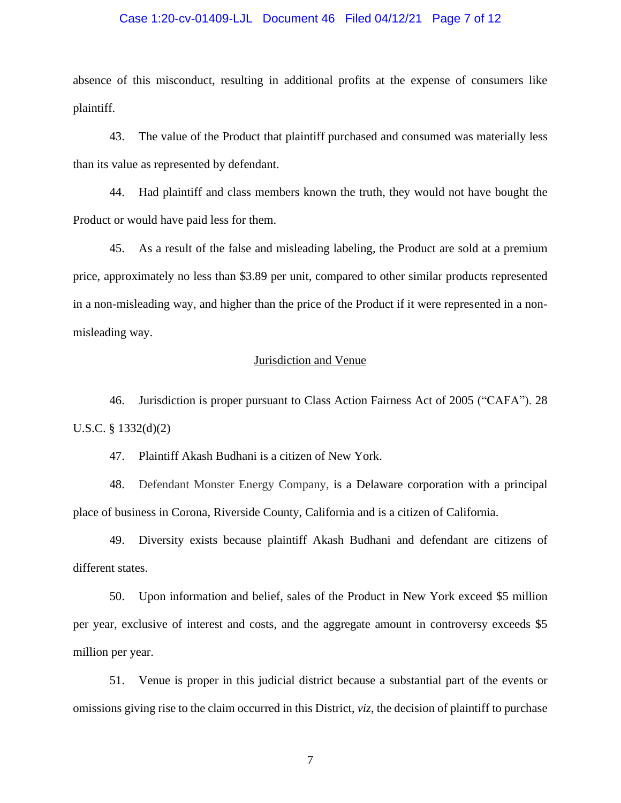### Case 1:20-cv-01409-LJL Document 46 Filed 04/12/21 Page 7 of 12

absence of this misconduct, resulting in additional profits at the expense of consumers like plaintiff.

43. The value of the Product that plaintiff purchased and consumed was materially less than its value as represented by defendant.

44. Had plaintiff and class members known the truth, they would not have bought the Product or would have paid less for them.

45. As a result of the false and misleading labeling, the Product are sold at a premium price, approximately no less than \$3.89 per unit, compared to other similar products represented in a non-misleading way, and higher than the price of the Product if it were represented in a nonmisleading way.

## Jurisdiction and Venue

46. Jurisdiction is proper pursuant to Class Action Fairness Act of 2005 ("CAFA"). 28 U.S.C. § 1332(d)(2)

47. Plaintiff Akash Budhani is a citizen of New York.

48. Defendant Monster Energy Company, is a Delaware corporation with a principal place of business in Corona, Riverside County, California and is a citizen of California.

49. Diversity exists because plaintiff Akash Budhani and defendant are citizens of different states.

50. Upon information and belief, sales of the Product in New York exceed \$5 million per year, exclusive of interest and costs, and the aggregate amount in controversy exceeds \$5 million per year.

51. Venue is proper in this judicial district because a substantial part of the events or omissions giving rise to the claim occurred in this District, *viz*, the decision of plaintiff to purchase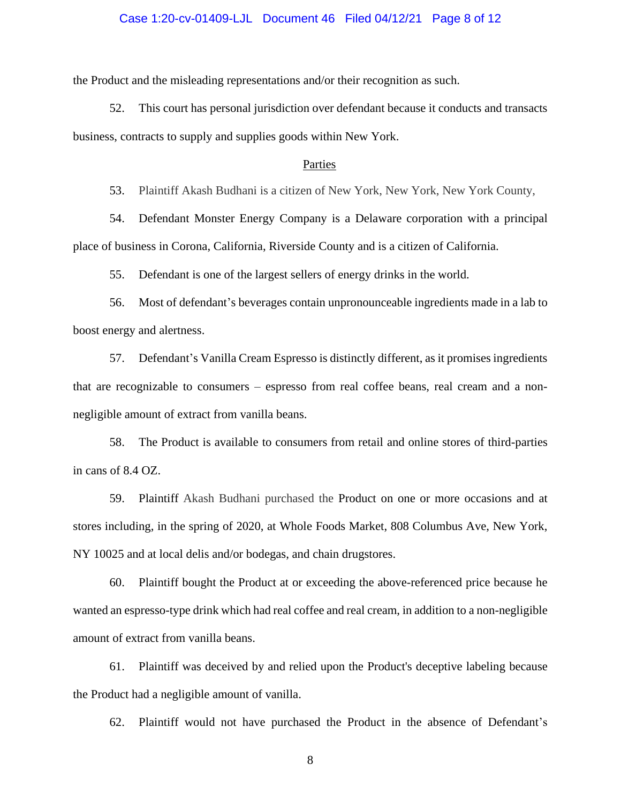### Case 1:20-cv-01409-LJL Document 46 Filed 04/12/21 Page 8 of 12

the Product and the misleading representations and/or their recognition as such.

52. This court has personal jurisdiction over defendant because it conducts and transacts business, contracts to supply and supplies goods within New York.

#### Parties

53. Plaintiff Akash Budhani is a citizen of New York, New York, New York County,

54. Defendant Monster Energy Company is a Delaware corporation with a principal place of business in Corona, California, Riverside County and is a citizen of California.

55. Defendant is one of the largest sellers of energy drinks in the world.

56. Most of defendant's beverages contain unpronounceable ingredients made in a lab to boost energy and alertness.

57. Defendant's Vanilla Cream Espresso is distinctly different, as it promises ingredients that are recognizable to consumers – espresso from real coffee beans, real cream and a nonnegligible amount of extract from vanilla beans.

58. The Product is available to consumers from retail and online stores of third-parties in cans of 8.4 OZ.

59. Plaintiff Akash Budhani purchased the Product on one or more occasions and at stores including, in the spring of 2020, at Whole Foods Market, 808 Columbus Ave, New York, NY 10025 and at local delis and/or bodegas, and chain drugstores.

60. Plaintiff bought the Product at or exceeding the above-referenced price because he wanted an espresso-type drink which had real coffee and real cream, in addition to a non-negligible amount of extract from vanilla beans.

61. Plaintiff was deceived by and relied upon the Product's deceptive labeling because the Product had a negligible amount of vanilla.

62. Plaintiff would not have purchased the Product in the absence of Defendant's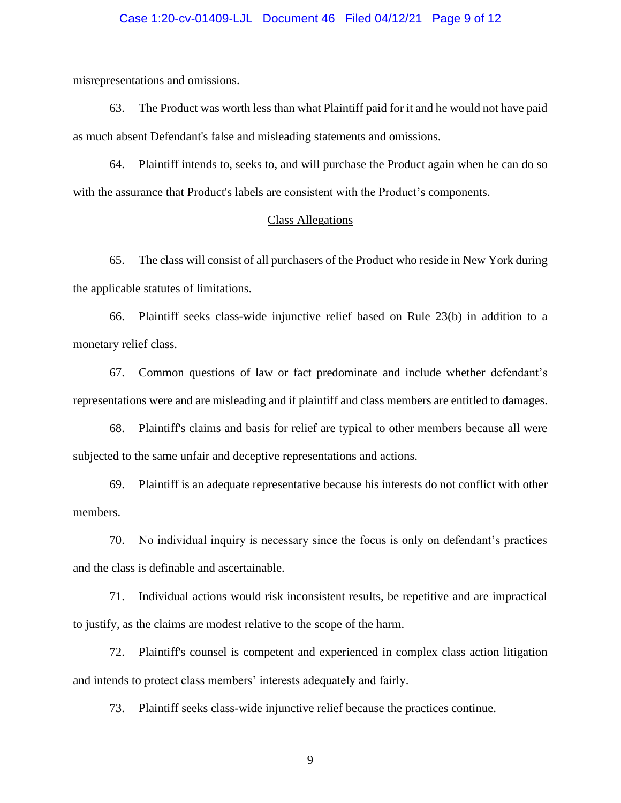### Case 1:20-cv-01409-LJL Document 46 Filed 04/12/21 Page 9 of 12

misrepresentations and omissions.

63. The Product was worth less than what Plaintiff paid for it and he would not have paid as much absent Defendant's false and misleading statements and omissions.

64. Plaintiff intends to, seeks to, and will purchase the Product again when he can do so with the assurance that Product's labels are consistent with the Product's components.

# Class Allegations

65. The class will consist of all purchasers of the Product who reside in New York during the applicable statutes of limitations.

66. Plaintiff seeks class-wide injunctive relief based on Rule 23(b) in addition to a monetary relief class.

67. Common questions of law or fact predominate and include whether defendant's representations were and are misleading and if plaintiff and class members are entitled to damages.

68. Plaintiff's claims and basis for relief are typical to other members because all were subjected to the same unfair and deceptive representations and actions.

69. Plaintiff is an adequate representative because his interests do not conflict with other members.

70. No individual inquiry is necessary since the focus is only on defendant's practices and the class is definable and ascertainable.

71. Individual actions would risk inconsistent results, be repetitive and are impractical to justify, as the claims are modest relative to the scope of the harm.

72. Plaintiff's counsel is competent and experienced in complex class action litigation and intends to protect class members' interests adequately and fairly.

73. Plaintiff seeks class-wide injunctive relief because the practices continue.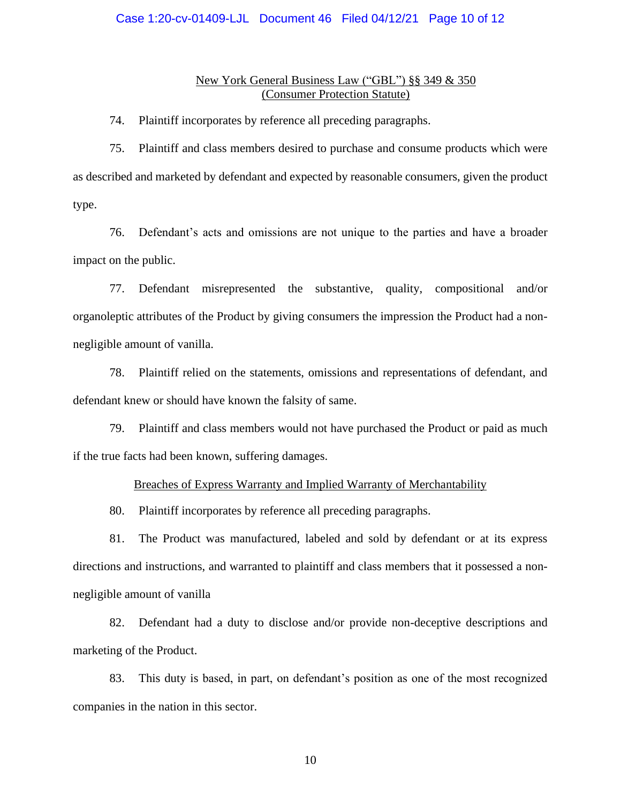### Case 1:20-cv-01409-LJL Document 46 Filed 04/12/21 Page 10 of 12

## New York General Business Law ("GBL") §§ 349 & 350 (Consumer Protection Statute)

74. Plaintiff incorporates by reference all preceding paragraphs.

75. Plaintiff and class members desired to purchase and consume products which were as described and marketed by defendant and expected by reasonable consumers, given the product type.

76. Defendant's acts and omissions are not unique to the parties and have a broader impact on the public.

77. Defendant misrepresented the substantive, quality, compositional and/or organoleptic attributes of the Product by giving consumers the impression the Product had a nonnegligible amount of vanilla.

78. Plaintiff relied on the statements, omissions and representations of defendant, and defendant knew or should have known the falsity of same.

79. Plaintiff and class members would not have purchased the Product or paid as much if the true facts had been known, suffering damages.

## Breaches of Express Warranty and Implied Warranty of Merchantability

80. Plaintiff incorporates by reference all preceding paragraphs.

81. The Product was manufactured, labeled and sold by defendant or at its express directions and instructions, and warranted to plaintiff and class members that it possessed a nonnegligible amount of vanilla

82. Defendant had a duty to disclose and/or provide non-deceptive descriptions and marketing of the Product.

83. This duty is based, in part, on defendant's position as one of the most recognized companies in the nation in this sector.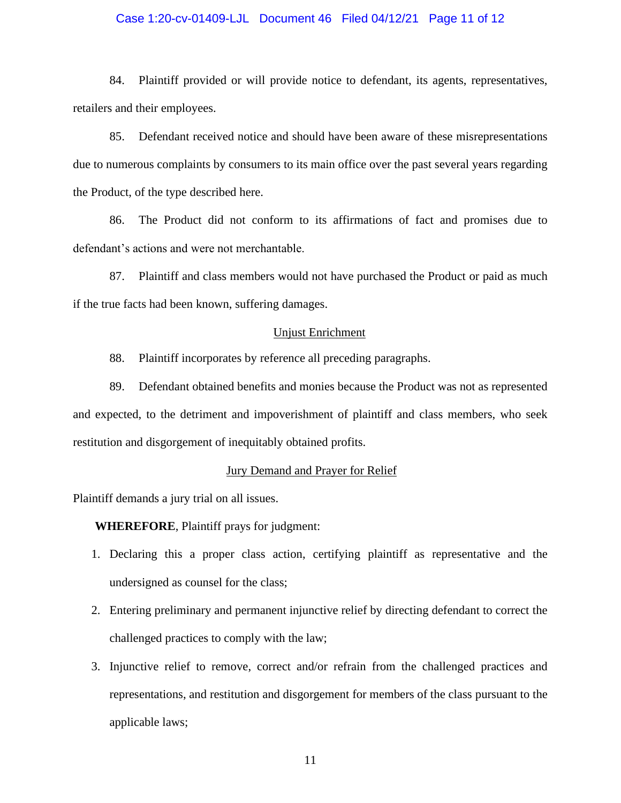## Case 1:20-cv-01409-LJL Document 46 Filed 04/12/21 Page 11 of 12

84. Plaintiff provided or will provide notice to defendant, its agents, representatives, retailers and their employees.

85. Defendant received notice and should have been aware of these misrepresentations due to numerous complaints by consumers to its main office over the past several years regarding the Product, of the type described here.

86. The Product did not conform to its affirmations of fact and promises due to defendant's actions and were not merchantable.

87. Plaintiff and class members would not have purchased the Product or paid as much if the true facts had been known, suffering damages.

# Unjust Enrichment

88. Plaintiff incorporates by reference all preceding paragraphs.

89. Defendant obtained benefits and monies because the Product was not as represented and expected, to the detriment and impoverishment of plaintiff and class members, who seek restitution and disgorgement of inequitably obtained profits.

## Jury Demand and Prayer for Relief

Plaintiff demands a jury trial on all issues.

# **WHEREFORE**, Plaintiff prays for judgment:

- 1. Declaring this a proper class action, certifying plaintiff as representative and the undersigned as counsel for the class;
- 2. Entering preliminary and permanent injunctive relief by directing defendant to correct the challenged practices to comply with the law;
- 3. Injunctive relief to remove, correct and/or refrain from the challenged practices and representations, and restitution and disgorgement for members of the class pursuant to the applicable laws;